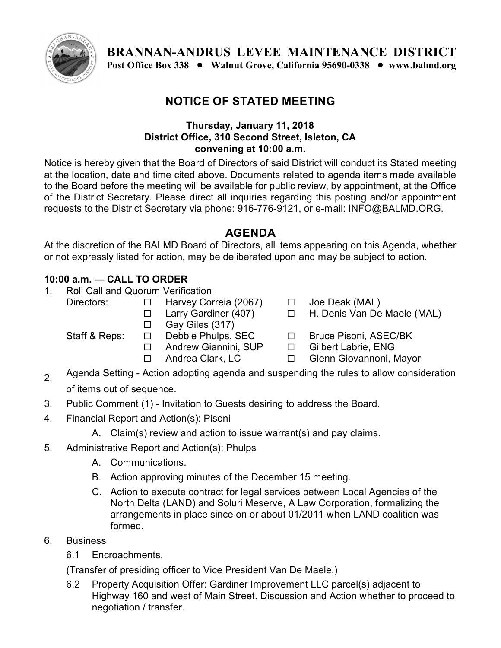

**BRANNAN-ANDRUS LEVEE MAINTENANCE DISTRICT Post Office Box 338** ! **Walnut Grove, California 95690-0338** ! **www.balmd.org** 

## **NOTICE OF STATED MEETING**

## **Thursday, January 11, 2018 District Office, 310 Second Street, Isleton, CA convening at 10:00 a.m.**

Notice is hereby given that the Board of Directors of said District will conduct its Stated meeting at the location, date and time cited above. Documents related to agenda items made available to the Board before the meeting will be available for public review, by appointment, at the Office of the District Secretary. Please direct all inquiries regarding this posting and/or appointment requests to the District Secretary via phone: 916-776-9121, or e-mail: INFO@BALMD.ORG.

## **AGENDA**

At the discretion of the BALMD Board of Directors, all items appearing on this Agenda, whether or not expressly listed for action, may be deliberated upon and may be subject to action.

## **10:00 a.m. — CALL TO ORDER**

- 1. Roll Call and Quorum Verification
	- Directors: □ Harvey Correia (2067)
		- □ Larry Gardiner (407)
		- $\Box$  Gay Giles (317)

- 
- 
- □ Joe Deak (MAL)
- □ H. Denis Van De Maele (MAL)
- Staff & Reps:  $\Box$  Debbie Phulps, SEC  $\Box$  Bruce Pisoni, ASEC/BK
	- □ Andrew Giannini, SUP □ Gilbert Labrie, ENG
	- □ Andrea Clark, LC □ Glenn Giovannoni, Mayor
- $2<sub>2</sub>$  Agenda Setting Action adopting agenda and suspending the rules to allow consideration of items out of sequence.
- 3. Public Comment (1) Invitation to Guests desiring to address the Board.
- 4. Financial Report and Action(s): Pisoni
	- A. Claim(s) review and action to issue warrant(s) and pay claims.
- 5. Administrative Report and Action(s): Phulps
	- A. Communications.
	- B. Action approving minutes of the December 15 meeting.
	- C. Action to execute contract for legal services between Local Agencies of the North Delta (LAND) and Soluri Meserve, A Law Corporation, formalizing the arrangements in place since on or about 01/2011 when LAND coalition was formed.
- 6. Business
	- 6.1 Encroachments.

(Transfer of presiding officer to Vice President Van De Maele.)

6.2 Property Acquisition Offer: Gardiner Improvement LLC parcel(s) adjacent to Highway 160 and west of Main Street. Discussion and Action whether to proceed to negotiation / transfer.